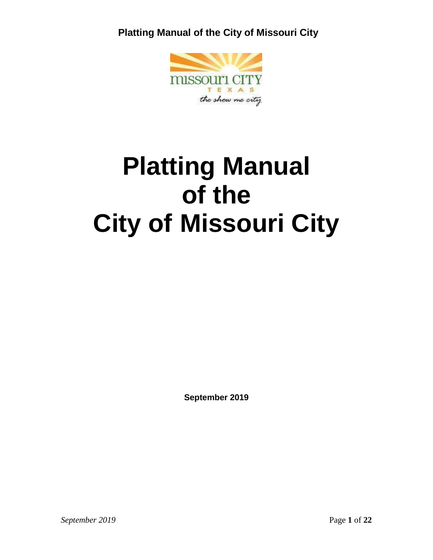

# **Platting Manual of the City of Missouri City**

**September 2019**

*September 2019* Page **1** of **22**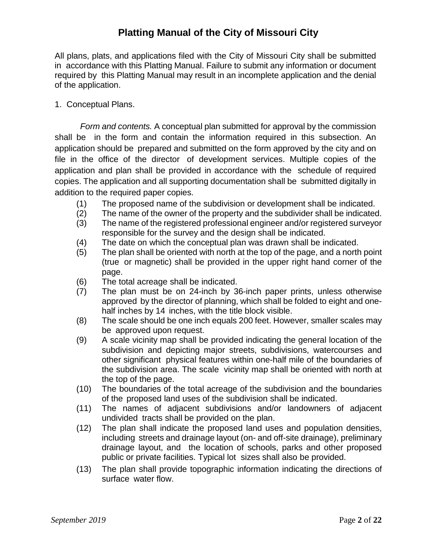All plans, plats, and applications filed with the City of Missouri City shall be submitted in accordance with this Platting Manual. Failure to submit any information or document required by this Platting Manual may result in an incomplete application and the denial of the application.

1. Conceptual Plans.

*Form and contents.* A conceptual plan submitted for approval by the commission shall be in the form and contain the information required in this subsection. An application should be prepared and submitted on the form approved by the city and on file in the office of the director of development services. Multiple copies of the application and plan shall be provided in accordance with the schedule of required copies. The application and all supporting documentation shall be submitted digitally in addition to the required paper copies.

- (1) The proposed name of the subdivision or development shall be indicated.
- (2) The name of the owner of the property and the subdivider shall be indicated.
- (3) The name of the registered professional engineer and/or registered surveyor responsible for the survey and the design shall be indicated.
- (4) The date on which the conceptual plan was drawn shall be indicated.
- (5) The plan shall be oriented with north at the top of the page, and a north point (true or magnetic) shall be provided in the upper right hand corner of the page.
- (6) The total acreage shall be indicated.
- (7) The plan must be on 24-inch by 36-inch paper prints, unless otherwise approved by the director of planning, which shall be folded to eight and onehalf inches by 14 inches, with the title block visible.
- (8) The scale should be one inch equals 200 feet. However, smaller scales may be approved upon request.
- (9) A scale vicinity map shall be provided indicating the general location of the subdivision and depicting major streets, subdivisions, watercourses and other significant physical features within one-half mile of the boundaries of the subdivision area. The scale vicinity map shall be oriented with north at the top of the page.
- (10) The boundaries of the total acreage of the subdivision and the boundaries of the proposed land uses of the subdivision shall be indicated.
- (11) The names of adjacent subdivisions and/or landowners of adjacent undivided tracts shall be provided on the plan.
- (12) The plan shall indicate the proposed land uses and population densities, including streets and drainage layout (on- and off-site drainage), preliminary drainage layout, and the location of schools, parks and other proposed public or private facilities. Typical lot sizes shall also be provided.
- (13) The plan shall provide topographic information indicating the directions of surface water flow.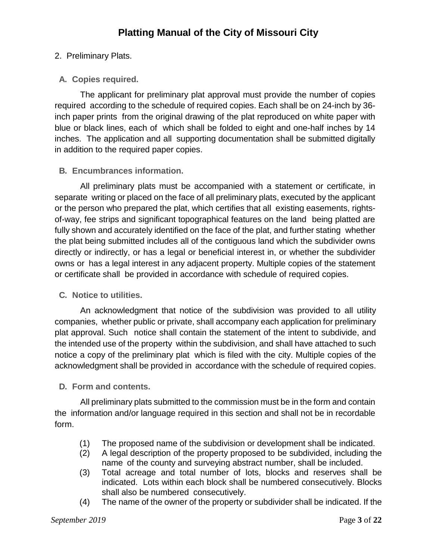## 2. Preliminary Plats.

## **A. Copies required.**

The applicant for preliminary plat approval must provide the number of copies required according to the schedule of required copies. Each shall be on 24-inch by 36 inch paper prints from the original drawing of the plat reproduced on white paper with blue or black lines, each of which shall be folded to eight and one-half inches by 14 inches. The application and all supporting documentation shall be submitted digitally in addition to the required paper copies.

## **B. Encumbrances information.**

All preliminary plats must be accompanied with a statement or certificate, in separate writing or placed on the face of all preliminary plats, executed by the applicant or the person who prepared the plat, which certifies that all existing easements, rightsof-way, fee strips and significant topographical features on the land being platted are fully shown and accurately identified on the face of the plat, and further stating whether the plat being submitted includes all of the contiguous land which the subdivider owns directly or indirectly, or has a legal or beneficial interest in, or whether the subdivider owns or has a legal interest in any adjacent property. Multiple copies of the statement or certificate shall be provided in accordance with schedule of required copies.

#### **C. Notice to utilities.**

An acknowledgment that notice of the subdivision was provided to all utility companies, whether public or private, shall accompany each application for preliminary plat approval. Such notice shall contain the statement of the intent to subdivide, and the intended use of the property within the subdivision, and shall have attached to such notice a copy of the preliminary plat which is filed with the city. Multiple copies of the acknowledgment shall be provided in accordance with the schedule of required copies.

#### **D. Form and contents.**

All preliminary plats submitted to the commission must be in the form and contain the information and/or language required in this section and shall not be in recordable form.

- (1) The proposed name of the subdivision or development shall be indicated.
- (2) A legal description of the property proposed to be subdivided, including the name of the county and surveying abstract number, shall be included.
- (3) Total acreage and total number of lots, blocks and reserves shall be indicated. Lots within each block shall be numbered consecutively. Blocks shall also be numbered consecutively.
- (4) The name of the owner of the property or subdivider shall be indicated. If the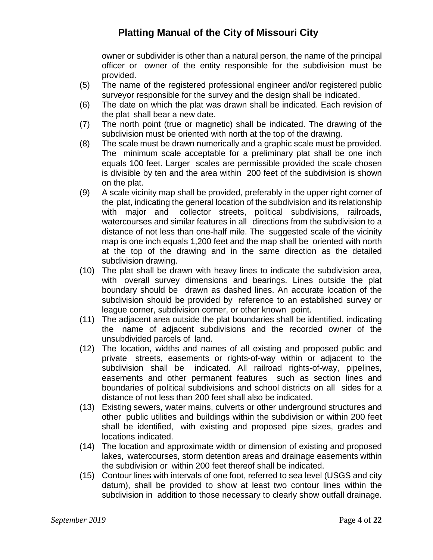owner or subdivider is other than a natural person, the name of the principal officer or owner of the entity responsible for the subdivision must be provided.

- (5) The name of the registered professional engineer and/or registered public surveyor responsible for the survey and the design shall be indicated.
- (6) The date on which the plat was drawn shall be indicated. Each revision of the plat shall bear a new date.
- (7) The north point (true or magnetic) shall be indicated. The drawing of the subdivision must be oriented with north at the top of the drawing.
- (8) The scale must be drawn numerically and a graphic scale must be provided. The minimum scale acceptable for a preliminary plat shall be one inch equals 100 feet. Larger scales are permissible provided the scale chosen is divisible by ten and the area within 200 feet of the subdivision is shown on the plat.
- (9) A scale vicinity map shall be provided, preferably in the upper right corner of the plat, indicating the general location of the subdivision and its relationship with major and collector streets, political subdivisions, railroads, watercourses and similar features in all directions from the subdivision to a distance of not less than one-half mile. The suggested scale of the vicinity map is one inch equals 1,200 feet and the map shall be oriented with north at the top of the drawing and in the same direction as the detailed subdivision drawing.
- (10) The plat shall be drawn with heavy lines to indicate the subdivision area, with overall survey dimensions and bearings. Lines outside the plat boundary should be drawn as dashed lines. An accurate location of the subdivision should be provided by reference to an established survey or league corner, subdivision corner, or other known point.
- (11) The adjacent area outside the plat boundaries shall be identified, indicating the name of adjacent subdivisions and the recorded owner of the unsubdivided parcels of land.
- (12) The location, widths and names of all existing and proposed public and private streets, easements or rights-of-way within or adjacent to the subdivision shall be indicated. All railroad rights-of-way, pipelines, easements and other permanent features such as section lines and boundaries of political subdivisions and school districts on all sides for a distance of not less than 200 feet shall also be indicated.
- (13) Existing sewers, water mains, culverts or other underground structures and other public utilities and buildings within the subdivision or within 200 feet shall be identified, with existing and proposed pipe sizes, grades and locations indicated.
- (14) The location and approximate width or dimension of existing and proposed lakes, watercourses, storm detention areas and drainage easements within the subdivision or within 200 feet thereof shall be indicated.
- (15) Contour lines with intervals of one foot, referred to sea level (USGS and city datum), shall be provided to show at least two contour lines within the subdivision in addition to those necessary to clearly show outfall drainage.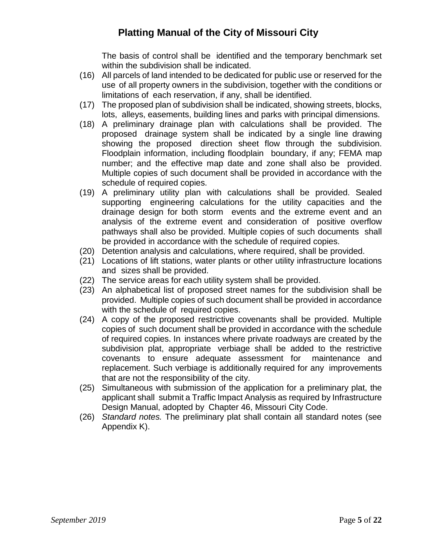The basis of control shall be identified and the temporary benchmark set within the subdivision shall be indicated.

- (16) All parcels of land intended to be dedicated for public use or reserved for the use of all property owners in the subdivision, together with the conditions or limitations of each reservation, if any, shall be identified.
- (17) The proposed plan of subdivision shall be indicated, showing streets, blocks, lots, alleys, easements, building lines and parks with principal dimensions.
- (18) A preliminary drainage plan with calculations shall be provided. The proposed drainage system shall be indicated by a single line drawing showing the proposed direction sheet flow through the subdivision. Floodplain information, including floodplain boundary, if any; FEMA map number; and the effective map date and zone shall also be provided. Multiple copies of such document shall be provided in accordance with the schedule of required copies.
- (19) A preliminary utility plan with calculations shall be provided. Sealed supporting engineering calculations for the utility capacities and the drainage design for both storm events and the extreme event and an analysis of the extreme event and consideration of positive overflow pathways shall also be provided. Multiple copies of such documents shall be provided in accordance with the schedule of required copies.
- (20) Detention analysis and calculations, where required, shall be provided.
- (21) Locations of lift stations, water plants or other utility infrastructure locations and sizes shall be provided.
- (22) The service areas for each utility system shall be provided.
- (23) An alphabetical list of proposed street names for the subdivision shall be provided. Multiple copies of such document shall be provided in accordance with the schedule of required copies.
- (24) A copy of the proposed restrictive covenants shall be provided. Multiple copies of such document shall be provided in accordance with the schedule of required copies. In instances where private roadways are created by the subdivision plat, appropriate verbiage shall be added to the restrictive covenants to ensure adequate assessment for maintenance and replacement. Such verbiage is additionally required for any improvements that are not the responsibility of the city.
- (25) Simultaneous with submission of the application for a preliminary plat, the applicant shall submit a Traffic Impact Analysis as required by Infrastructure Design Manual, adopted by Chapter 46, Missouri City Code.
- (26) *Standard notes.* The preliminary plat shall contain all standard notes (see Appendix K).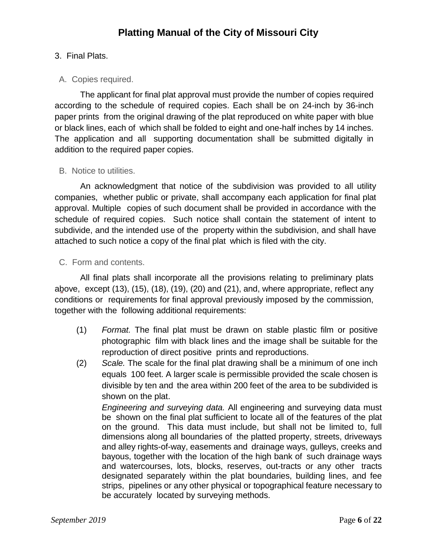## 3. Final Plats.

## A. Copies required.

The applicant for final plat approval must provide the number of copies required according to the schedule of required copies. Each shall be on 24-inch by 36-inch paper prints from the original drawing of the plat reproduced on white paper with blue or black lines, each of which shall be folded to eight and one-half inches by 14 inches. The application and all supporting documentation shall be submitted digitally in addition to the required paper copies.

#### B. Notice to utilities.

An acknowledgment that notice of the subdivision was provided to all utility companies, whether public or private, shall accompany each application for final plat approval. Multiple copies of such document shall be provided in accordance with the schedule of required copies. Such notice shall contain the statement of intent to subdivide, and the intended use of the property within the subdivision, and shall have attached to such notice a copy of the final plat which is filed with the city.

#### C. Form and contents.

All final plats shall incorporate all the provisions relating to preliminary plats above, except (13), (15), (18), (19), (20) and (21), and, where appropriate, reflect any conditions or requirements for final approval previously imposed by the commission, together with the following additional requirements:

- (1) *Format.* The final plat must be drawn on stable plastic film or positive photographic film with black lines and the image shall be suitable for the reproduction of direct positive prints and reproductions.
- (2) *Scale.* The scale for the final plat drawing shall be a minimum of one inch equals 100 feet. A larger scale is permissible provided the scale chosen is divisible by ten and the area within 200 feet of the area to be subdivided is shown on the plat.

*Engineering and surveying data.* All engineering and surveying data must be shown on the final plat sufficient to locate all of the features of the plat on the ground. This data must include, but shall not be limited to, full dimensions along all boundaries of the platted property, streets, driveways and alley rights-of-way, easements and drainage ways, gulleys, creeks and bayous, together with the location of the high bank of such drainage ways and watercourses, lots, blocks, reserves, out-tracts or any other tracts designated separately within the plat boundaries, building lines, and fee strips, pipelines or any other physical or topographical feature necessary to be accurately located by surveying methods.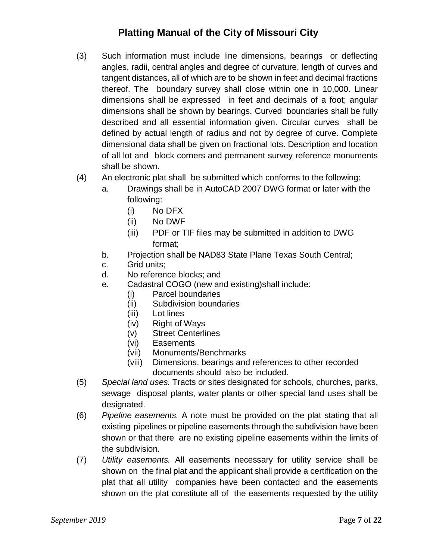- (3) Such information must include line dimensions, bearings or deflecting angles, radii, central angles and degree of curvature, length of curves and tangent distances, all of which are to be shown in feet and decimal fractions thereof. The boundary survey shall close within one in 10,000. Linear dimensions shall be expressed in feet and decimals of a foot; angular dimensions shall be shown by bearings. Curved boundaries shall be fully described and all essential information given. Circular curves shall be defined by actual length of radius and not by degree of curve. Complete dimensional data shall be given on fractional lots. Description and location of all lot and block corners and permanent survey reference monuments shall be shown.
- (4) An electronic plat shall be submitted which conforms to the following:
	- a. Drawings shall be in AutoCAD 2007 DWG format or later with the following:
		- (i) No DFX
		- (ii) No DWF
		- (iii) PDF or TIF files may be submitted in addition to DWG format;
	- b. Projection shall be NAD83 State Plane Texas South Central;
	- c. Grid units;
	- d. No reference blocks; and
	- e. Cadastral COGO (new and existing)shall include:
		- (i) Parcel boundaries
		- (ii) Subdivision boundaries
		- (iii) Lot lines
		- (iv) Right of Ways
		- (v) Street Centerlines
		- (vi) Easements
		- (vii) Monuments/Benchmarks
		- (viii) Dimensions, bearings and references to other recorded documents should also be included.
- (5) *Special land uses.* Tracts or sites designated for schools, churches, parks, sewage disposal plants, water plants or other special land uses shall be designated.
- (6) *Pipeline easements.* A note must be provided on the plat stating that all existing pipelines or pipeline easements through the subdivision have been shown or that there are no existing pipeline easements within the limits of the subdivision.
- (7) *Utility easements.* All easements necessary for utility service shall be shown on the final plat and the applicant shall provide a certification on the plat that all utility companies have been contacted and the easements shown on the plat constitute all of the easements requested by the utility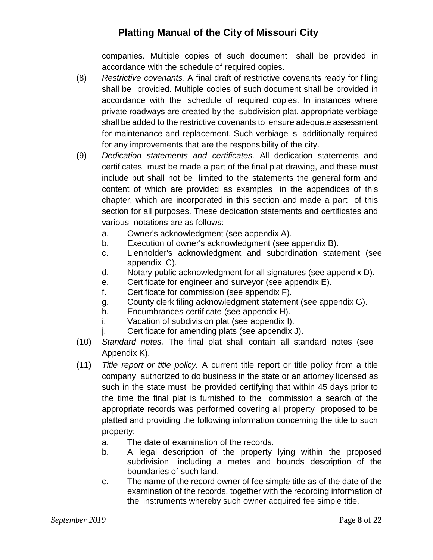companies. Multiple copies of such document shall be provided in accordance with the schedule of required copies.

- (8) *Restrictive covenants.* A final draft of restrictive covenants ready for filing shall be provided. Multiple copies of such document shall be provided in accordance with the schedule of required copies. In instances where private roadways are created by the subdivision plat, appropriate verbiage shall be added to the restrictive covenants to ensure adequate assessment for maintenance and replacement. Such verbiage is additionally required for any improvements that are the responsibility of the city.
- (9) *Dedication statements and certificates.* All dedication statements and certificates must be made a part of the final plat drawing, and these must include but shall not be limited to the statements the general form and content of which are provided as examples in the appendices of this chapter, which are incorporated in this section and made a part of this section for all purposes. These dedication statements and certificates and various notations are as follows:
	- a. Owner's acknowledgment (see appendix A).
	- b. Execution of owner's acknowledgment (see appendix B).
	- c. Lienholder's acknowledgment and subordination statement (see appendix C).
	- d. Notary public acknowledgment for all signatures (see appendix D).
	- e. Certificate for engineer and surveyor (see appendix E).
	- f. Certificate for commission (see appendix F).
	- g. County clerk filing acknowledgment statement (see appendix G).
	- h. Encumbrances certificate (see appendix H).
	- i. Vacation of subdivision plat (see appendix I).
	- j. Certificate for amending plats (see appendix J).
- (10) *Standard notes.* The final plat shall contain all standard notes (see Appendix K).
- (11) *Title report or title policy.* A current title report or title policy from a title company authorized to do business in the state or an attorney licensed as such in the state must be provided certifying that within 45 days prior to the time the final plat is furnished to the commission a search of the appropriate records was performed covering all property proposed to be platted and providing the following information concerning the title to such property:
	- a. The date of examination of the records.
	- b. A legal description of the property lying within the proposed subdivision including a metes and bounds description of the boundaries of such land.
	- c. The name of the record owner of fee simple title as of the date of the examination of the records, together with the recording information of the instruments whereby such owner acquired fee simple title.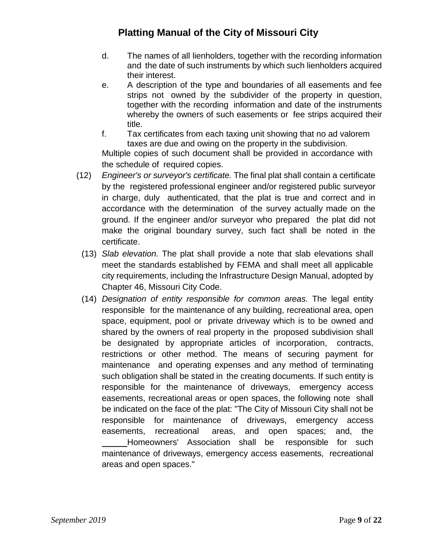- d. The names of all lienholders, together with the recording information and the date of such instruments by which such lienholders acquired their interest.
- e. A description of the type and boundaries of all easements and fee strips not owned by the subdivider of the property in question, together with the recording information and date of the instruments whereby the owners of such easements or fee strips acquired their title.
- f. Tax certificates from each taxing unit showing that no ad valorem taxes are due and owing on the property in the subdivision.

Multiple copies of such document shall be provided in accordance with the schedule of required copies.

- (12) *Engineer's or surveyor's certificate.* The final plat shall contain a certificate by the registered professional engineer and/or registered public surveyor in charge, duly authenticated, that the plat is true and correct and in accordance with the determination of the survey actually made on the ground. If the engineer and/or surveyor who prepared the plat did not make the original boundary survey, such fact shall be noted in the certificate.
	- (13) *Slab elevation.* The plat shall provide a note that slab elevations shall meet the standards established by FEMA and shall meet all applicable city requirements, including the Infrastructure Design Manual, adopted by Chapter 46, Missouri City Code.
	- (14) *Designation of entity responsible for common areas.* The legal entity responsible for the maintenance of any building, recreational area, open space, equipment, pool or private driveway which is to be owned and shared by the owners of real property in the proposed subdivision shall be designated by appropriate articles of incorporation, contracts, restrictions or other method. The means of securing payment for maintenance and operating expenses and any method of terminating such obligation shall be stated in the creating documents. If such entity is responsible for the maintenance of driveways, emergency access easements, recreational areas or open spaces, the following note shall be indicated on the face of the plat: "The City of Missouri City shall not be responsible for maintenance of driveways, emergency access easements, recreational areas, and open spaces; and, the Homeowners' Association shall be responsible for such maintenance of driveways, emergency access easements, recreational areas and open spaces."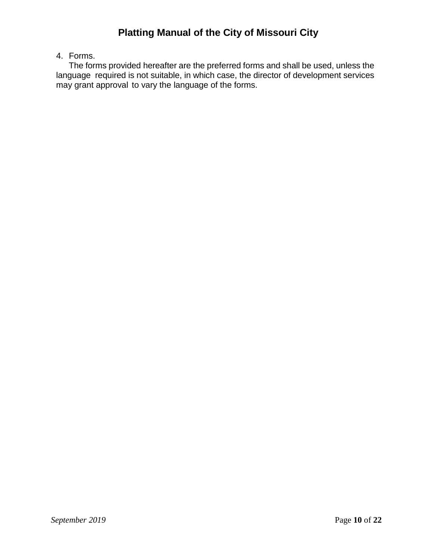## 4. Forms.

The forms provided hereafter are the preferred forms and shall be used, unless the language required is not suitable, in which case, the director of development services may grant approval to vary the language of the forms.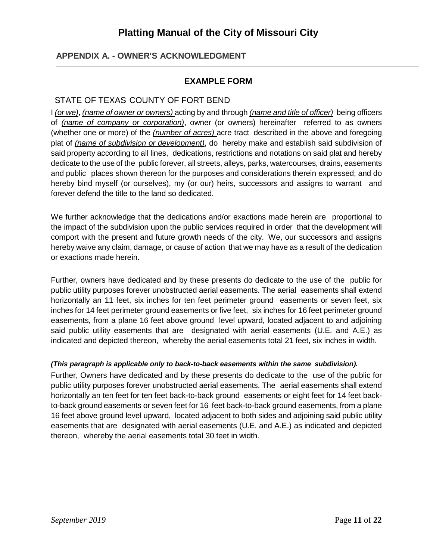## **APPENDIX A. - OWNER'S ACKNOWLEDGMENT**

#### **EXAMPLE FORM**

#### STATE OF TEXAS COUNTY OF FORT BEND

I *(or we)*, *(name of owner or owners)* acting by and through *(name and title of officer)* being officers of *(name of company or corporation)*, owner (or owners) hereinafter referred to as owners (whether one or more) of the *(number of acres)* acre tract described in the above and foregoing plat of *(name of subdivision or development)*, do hereby make and establish said subdivision of said property according to all lines, dedications, restrictions and notations on said plat and hereby dedicate to the use of the public forever, all streets, alleys, parks, watercourses, drains, easements and public places shown thereon for the purposes and considerations therein expressed; and do hereby bind myself (or ourselves), my (or our) heirs, successors and assigns to warrant and forever defend the title to the land so dedicated.

We further acknowledge that the dedications and/or exactions made herein are proportional to the impact of the subdivision upon the public services required in order that the development will comport with the present and future growth needs of the city. We, our successors and assigns hereby waive any claim, damage, or cause of action that we may have as a result of the dedication or exactions made herein.

Further, owners have dedicated and by these presents do dedicate to the use of the public for public utility purposes forever unobstructed aerial easements. The aerial easements shall extend horizontally an 11 feet, six inches for ten feet perimeter ground easements or seven feet, six inches for 14 feet perimeter ground easements or five feet, six inches for 16 feet perimeter ground easements, from a plane 16 feet above ground level upward, located adjacent to and adjoining said public utility easements that are designated with aerial easements (U.E. and A.E.) as indicated and depicted thereon, whereby the aerial easements total 21 feet, six inches in width.

#### *(This paragraph is applicable only to back-to-back easements within the same subdivision).*

Further, Owners have dedicated and by these presents do dedicate to the use of the public for public utility purposes forever unobstructed aerial easements. The aerial easements shall extend horizontally an ten feet for ten feet back-to-back ground easements or eight feet for 14 feet backto-back ground easements or seven feet for 16 feet back-to-back ground easements, from a plane 16 feet above ground level upward, located adjacent to both sides and adjoining said public utility easements that are designated with aerial easements (U.E. and A.E.) as indicated and depicted thereon, whereby the aerial easements total 30 feet in width.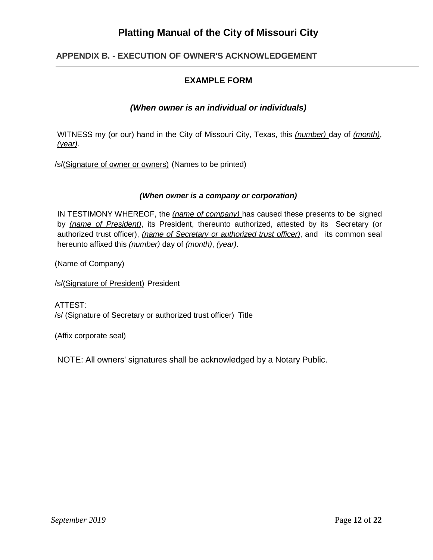## **APPENDIX B. - EXECUTION OF OWNER'S ACKNOWLEDGEMENT**

## **EXAMPLE FORM**

#### *(When owner is an individual or individuals)*

WITNESS my (or our) hand in the City of Missouri City, Texas, this *(number)* day of *(month)*, *(year)*.

/s/(Signature of owner or owners) (Names to be printed)

#### *(When owner is a company or corporation)*

IN TESTIMONY WHEREOF, the *(name of company)* has caused these presents to be signed by *(name of President)*, its President, thereunto authorized, attested by its Secretary (or authorized trust officer), *(name of Secretary or authorized trust officer)*, and its common seal hereunto affixed this *(number)* day of *(month)*, *(year)*.

(Name of Company)

/s/(Signature of President) President

ATTEST: /s/ (Signature of Secretary or authorized trust officer) Title

(Affix corporate seal)

NOTE: All owners' signatures shall be acknowledged by a Notary Public.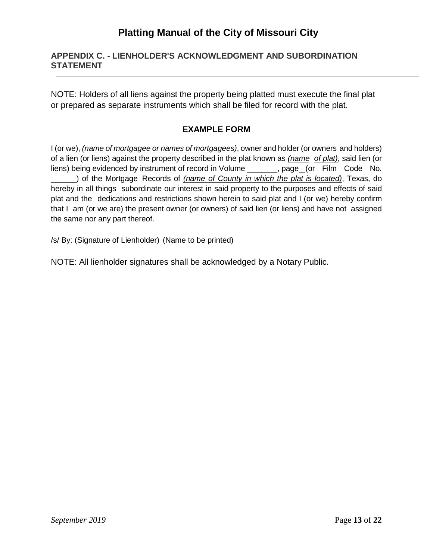#### **APPENDIX C. - LIENHOLDER'S ACKNOWLEDGMENT AND SUBORDINATION STATEMENT**

NOTE: Holders of all liens against the property being platted must execute the final plat or prepared as separate instruments which shall be filed for record with the plat.

## **EXAMPLE FORM**

I (or we), *(name of mortgagee or names of mortgagees)*, owner and holder (or owners and holders) of a lien (or liens) against the property described in the plat known as *(name of plat)*, said lien (or liens) being evidenced by instrument of record in Volume \_\_\_\_\_\_, page (or Film Code No. ) of the Mortgage Records of *(name of County in which the plat is located)*, Texas, do hereby in all things subordinate our interest in said property to the purposes and effects of said plat and the dedications and restrictions shown herein to said plat and I (or we) hereby confirm that I am (or we are) the present owner (or owners) of said lien (or liens) and have not assigned the same nor any part thereof.

/s/ By: (Signature of Lienholder) (Name to be printed)

NOTE: All lienholder signatures shall be acknowledged by a Notary Public.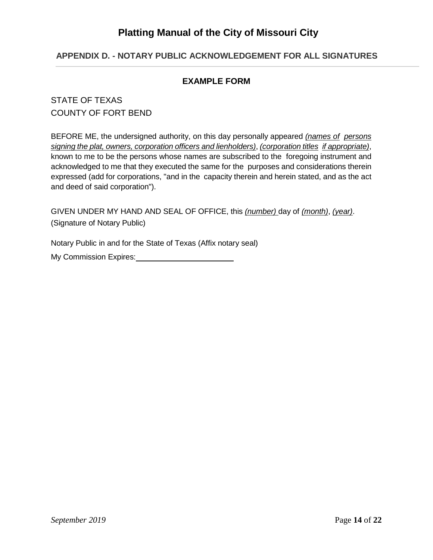## **APPENDIX D. - NOTARY PUBLIC ACKNOWLEDGEMENT FOR ALL SIGNATURES**

#### **EXAMPLE FORM**

## STATE OF TEXAS COUNTY OF FORT BEND

BEFORE ME, the undersigned authority, on this day personally appeared *(names of persons signing the plat, owners, corporation officers and lienholders)*, *(corporation titles if appropriate)*, known to me to be the persons whose names are subscribed to the foregoing instrument and acknowledged to me that they executed the same for the purposes and considerations therein expressed (add for corporations, "and in the capacity therein and herein stated, and as the act and deed of said corporation").

GIVEN UNDER MY HAND AND SEAL OF OFFICE, this *(number)* day of *(month)*, *(year)*. (Signature of Notary Public)

Notary Public in and for the State of Texas (Affix notary seal)

My Commission Expires: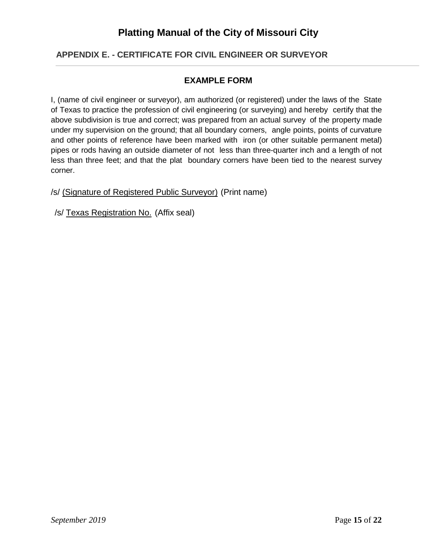## **APPENDIX E. - CERTIFICATE FOR CIVIL ENGINEER OR SURVEYOR**

#### **EXAMPLE FORM**

I, (name of civil engineer or surveyor), am authorized (or registered) under the laws of the State of Texas to practice the profession of civil engineering (or surveying) and hereby certify that the above subdivision is true and correct; was prepared from an actual survey of the property made under my supervision on the ground; that all boundary corners, angle points, points of curvature and other points of reference have been marked with iron (or other suitable permanent metal) pipes or rods having an outside diameter of not less than three-quarter inch and a length of not less than three feet; and that the plat boundary corners have been tied to the nearest survey corner.

/s/ (Signature of Registered Public Surveyor) (Print name)

/s/ Texas Registration No. (Affix seal)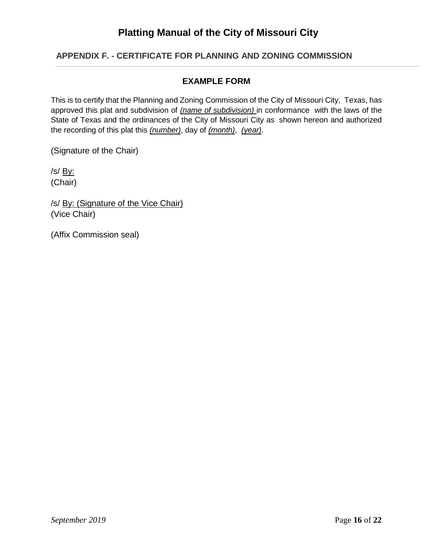#### **APPENDIX F. - CERTIFICATE FOR PLANNING AND ZONING COMMISSION**

#### **EXAMPLE FORM**

This is to certify that the Planning and Zoning Commission of the City of Missouri City, Texas, has approved this plat and subdivision of *(name of subdivision)* in conformance with the laws of the State of Texas and the ordinances of the City of Missouri City as shown hereon and authorized the recording of this plat this *(number)*, day of *(month)*, *(year)*.

(Signature of the Chair)

/s/ By: (Chair)

/s/ By: (Signature of the Vice Chair) (Vice Chair)

(Affix Commission seal)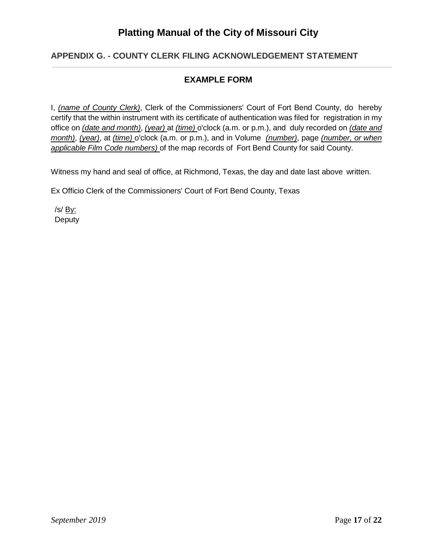#### **APPENDIX G. - COUNTY CLERK FILING ACKNOWLEDGEMENT STATEMENT**

#### **EXAMPLE FORM**

I, *(name of County Clerk)*, Clerk of the Commissioners' Court of Fort Bend County, do hereby certify that the within instrument with its certificate of authentication was filed for registration in my office on *(date and month)*, *(year)* at *(time)* o'clock (a.m. or p.m.), and duly recorded on *(date and month)*, *(year)*, at *(time)* o'clock (a.m. or p.m.), and in Volume *(number)*, page *(number, or when applicable Film Code numbers)* of the map records of Fort Bend County for said County.

Witness my hand and seal of office, at Richmond, Texas, the day and date last above written.

Ex Officio Clerk of the Commissioners' Court of Fort Bend County, Texas

/s/ By: **Deputy**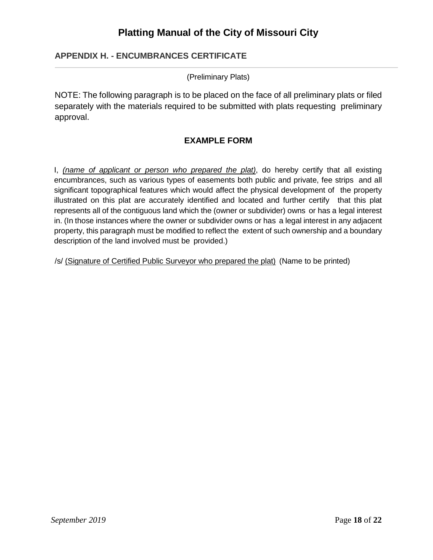#### **APPENDIX H. - ENCUMBRANCES CERTIFICATE**

(Preliminary Plats)

NOTE: The following paragraph is to be placed on the face of all preliminary plats or filed separately with the materials required to be submitted with plats requesting preliminary approval.

#### **EXAMPLE FORM**

I, *(name of applicant or person who prepared the plat)*, do hereby certify that all existing encumbrances, such as various types of easements both public and private, fee strips and all significant topographical features which would affect the physical development of the property illustrated on this plat are accurately identified and located and further certify that this plat represents all of the contiguous land which the (owner or subdivider) owns or has a legal interest in. (In those instances where the owner or subdivider owns or has a legal interest in any adjacent property, this paragraph must be modified to reflect the extent of such ownership and a boundary description of the land involved must be provided.)

/s/ (Signature of Certified Public Surveyor who prepared the plat) (Name to be printed)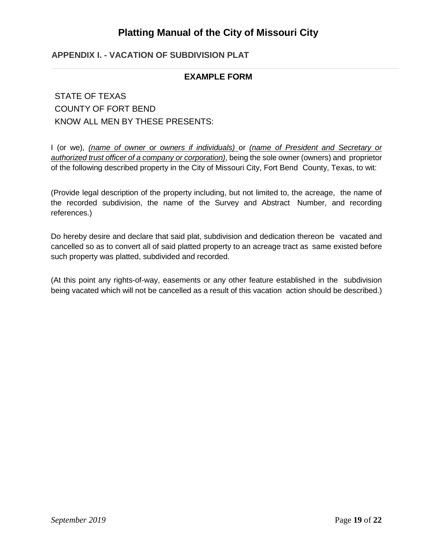## **APPENDIX I. - VACATION OF SUBDIVISION PLAT**

#### **EXAMPLE FORM**

## STATE OF TEXAS COUNTY OF FORT BEND KNOW ALL MEN BY THESE PRESENTS:

I (or we), *(name of owner or owners if individuals)* or *(name of President and Secretary or authorized trust officer of a company or corporation)*, being the sole owner (owners) and proprietor of the following described property in the City of Missouri City, Fort Bend County, Texas, to wit:

(Provide legal description of the property including, but not limited to, the acreage, the name of the recorded subdivision, the name of the Survey and Abstract Number, and recording references.)

Do hereby desire and declare that said plat, subdivision and dedication thereon be vacated and cancelled so as to convert all of said platted property to an acreage tract as same existed before such property was platted, subdivided and recorded.

(At this point any rights-of-way, easements or any other feature established in the subdivision being vacated which will not be cancelled as a result of this vacation action should be described.)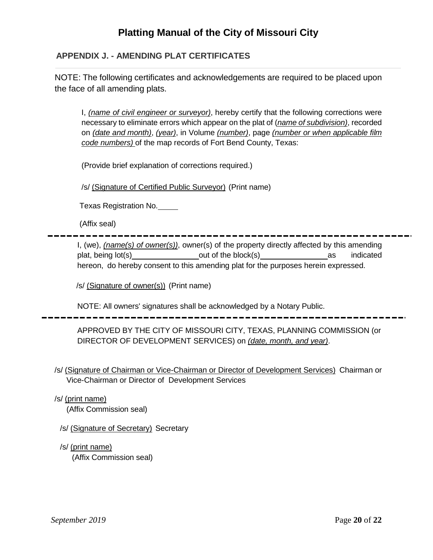## **APPENDIX J. - AMENDING PLAT CERTIFICATES**

NOTE: The following certificates and acknowledgements are required to be placed upon the face of all amending plats.

I, *(name of civil engineer or surveyor)*, hereby certify that the following corrections were necessary to eliminate errors which appear on the plat of (*name of subdivision)*, recorded on *(date and month)*, *(year)*, in Volume *(number)*, page *(number or when applicable film code numbers)* of the map records of Fort Bend County, Texas:

(Provide brief explanation of corrections required.)

/s/ (Signature of Certified Public Surveyor) (Print name)

Texas Registration No.

(Affix seal)

I, (we), *(name(s) of owner(s))*, owner(s) of the property directly affected by this amending plat, being lot(s) being lot(s) being lot(s) being lot(s) being lot(s) being being being being being being being being being being being being being being being being being being being being being being being being being b hereon, do hereby consent to this amending plat for the purposes herein expressed.

/s/ (Signature of owner(s)) (Print name)

NOTE: All owners' signatures shall be acknowledged by a Notary Public.

APPROVED BY THE CITY OF MISSOURI CITY, TEXAS, PLANNING COMMISSION (or DIRECTOR OF DEVELOPMENT SERVICES) on *(date, month, and year)*.

/s/ (Signature of Chairman or Vice-Chairman or Director of Development Services) Chairman or Vice-Chairman or Director of Development Services

/s/ (print name)

(Affix Commission seal)

/s/ (Signature of Secretary) Secretary

/s/ (print name)

(Affix Commission seal)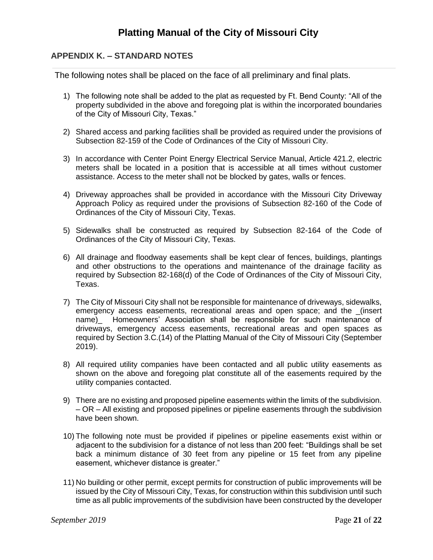## **APPENDIX K. – STANDARD NOTES**

The following notes shall be placed on the face of all preliminary and final plats.

- 1) The following note shall be added to the plat as requested by Ft. Bend County: "All of the property subdivided in the above and foregoing plat is within the incorporated boundaries of the City of Missouri City, Texas."
- 2) Shared access and parking facilities shall be provided as required under the provisions of Subsection 82-159 of the Code of Ordinances of the City of Missouri City.
- 3) In accordance with Center Point Energy Electrical Service Manual, Article 421.2, electric meters shall be located in a position that is accessible at all times without customer assistance. Access to the meter shall not be blocked by gates, walls or fences.
- 4) Driveway approaches shall be provided in accordance with the Missouri City Driveway Approach Policy as required under the provisions of Subsection 82-160 of the Code of Ordinances of the City of Missouri City, Texas.
- 5) Sidewalks shall be constructed as required by Subsection 82-164 of the Code of Ordinances of the City of Missouri City, Texas.
- 6) All drainage and floodway easements shall be kept clear of fences, buildings, plantings and other obstructions to the operations and maintenance of the drainage facility as required by Subsection 82-168(d) of the Code of Ordinances of the City of Missouri City, Texas.
- 7) The City of Missouri City shall not be responsible for maintenance of driveways, sidewalks, emergency access easements, recreational areas and open space; and the \_(insert name) Homeowners' Association shall be responsible for such maintenance of driveways, emergency access easements, recreational areas and open spaces as required by Section 3.C.(14) of the Platting Manual of the City of Missouri City (September 2019).
- 8) All required utility companies have been contacted and all public utility easements as shown on the above and foregoing plat constitute all of the easements required by the utility companies contacted.
- 9) There are no existing and proposed pipeline easements within the limits of the subdivision. – OR – All existing and proposed pipelines or pipeline easements through the subdivision have been shown.
- 10) The following note must be provided if pipelines or pipeline easements exist within or adjacent to the subdivision for a distance of not less than 200 feet: "Buildings shall be set back a minimum distance of 30 feet from any pipeline or 15 feet from any pipeline easement, whichever distance is greater."
- 11) No building or other permit, except permits for construction of public improvements will be issued by the City of Missouri City, Texas, for construction within this subdivision until such time as all public improvements of the subdivision have been constructed by the developer